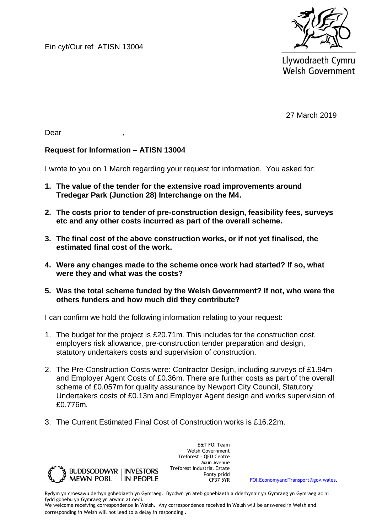Ein cyf/Our ref ATISN 13004



Llywodraeth Cymru **Welsh Government** 

27 March 2019

Dear ,

## **Request for Information – ATISN 13004**

I wrote to you on 1 March regarding your request for information. You asked for:

- **1. The value of the tender for the extensive road improvements around Tredegar Park (Junction 28) Interchange on the M4.**
- **2. The costs prior to tender of pre-construction design, feasibility fees, surveys etc and any other costs incurred as part of the overall scheme.**
- **3. The final cost of the above construction works, or if not yet finalised, the estimated final cost of the work.**
- **4. Were any changes made to the scheme once work had started? If so, what were they and what was the costs?**
- **5. Was the total scheme funded by the Welsh Government? If not, who were the others funders and how much did they contribute?**

I can confirm we hold the following information relating to your request:

- 1. The budget for the project is £20.71m. This includes for the construction cost, employers risk allowance, pre-construction tender preparation and design, statutory undertakers costs and supervision of construction.
- 2. The Pre-Construction Costs were: Contractor Design, including surveys of £1.94m and Employer Agent Costs of £0.36m. There are further costs as part of the overall scheme of £0.057m for quality assurance by Newport City Council, Statutory Undertakers costs of £0.13m and Employer Agent design and works supervision of £0.776m.
- 3. The Current Estimated Final Cost of Construction works is £16.22m.



E&T FOI Team Welsh Government Treforest – QED Centre Main Avenue Treforest Industrial Estate Ponty pridd<br>CF37 5YR

[FOI.EconomyandTransport@gov.wales.](mailto:FOI.EconomyandTransport@gov.wales)

Rydym yn croesawu derbyn gohebiaeth yn Gymraeg. Byddwn yn ateb gohebiaeth a dderbynnir yn Gymraeg yn Gymraeg ac ni fydd gohebu yn Gymraeg yn arwain at oedi.

We welcome receiving correspondence in Welsh. Any correspondence received in Welsh will be answered in Welsh and corresponding in Welsh will not lead to a delay in responding.